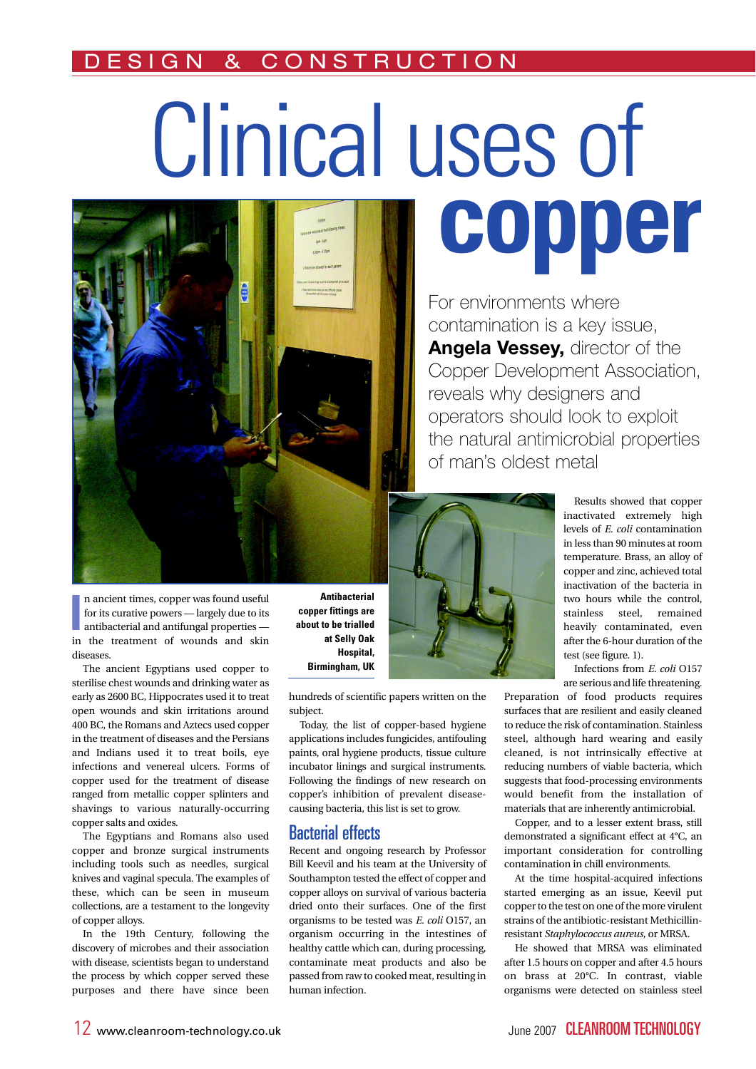# & CONSTRUCTIO

# Clinical uses of copper



n ancient times, copper was found useful for its curative powers — largely due to its antibacterial and antifungal properties — in the treatment of wounds and skin n ancient times, copper was found useful for its curative powers — largely due to its antibacterial and antifungal properties diseases.

The ancient Egyptians used copper to sterilise chest wounds and drinking water as early as 2600 BC, Hippocrates used it to treat open wounds and skin irritations around 400 BC, the Romans and Aztecs used copper in the treatment of diseases and the Persians and Indians used it to treat boils, eve infections and venereal ulcers. Forms of copper used for the treatment of disease ranged from metallic copper splinters and shavings to various naturally-occurring copper salts and oxides.

The Egyptians and Romans also used copper and bronze surgical instruments including tools such as needles, surgical knives and vaginal specula. The examples of these, which can be seen in museum collections, are a testament to the longevity of copper alloys.

In the 19th Century, following the discovery of microbes and their association with disease, scientists began to understand the process by which copper served these purposes and there have since been

**Antibacterial** copper fittings are about to be trialled at Selly Oak Hospital, Birmingham, UK

hundreds of scientific papers written on the subject.

Today, the list of copper-based hygiene applications includes fungicides, antifouling paints, oral hygiene products, tissue culture incubator linings and surgical instruments. Following the findings of new research on copper's inhibition of prevalent diseasecausing bacteria, this list is set to grow.

## **Bacterial effects**

Recent and ongoing research by Professor Bill Keevil and his team at the University of Southampton tested the effect of copper and copper alloys on survival of various bacteria dried onto their surfaces. One of the first organisms to be tested was E. coli O157, an organism occurring in the intestines of healthy cattle which can, during processing, contaminate meat products and also be passed from raw to cooked meat, resulting in human infection.

For environments where contamination is a key issue, Angela Vessey, director of the Copper Development Association, reveals why designers and operators should look to exploit the natural antimicrobial properties of man's oldest metal



Results showed that copper inactivated extremely high levels of E. coli contamination in less than 90 minutes at room temperature. Brass, an alloy of copper and zinc, achieved total inactivation of the bacteria in two hours while the control. stainless steel, remained heavily contaminated, even after the 6-hour duration of the test (see figure. 1).

Infections from E. coli O157 are serious and life threatening.

Preparation of food products requires surfaces that are resilient and easily cleaned to reduce the risk of contamination. Stainless steel, although hard wearing and easily cleaned, is not intrinsically effective at reducing numbers of viable bacteria, which suggests that food-processing environments would benefit from the installation of materials that are inherently antimicrobial.

Copper, and to a lesser extent brass, still demonstrated a significant effect at 4°C, an important consideration for controlling contamination in chill environments.

At the time hospital-acquired infections started emerging as an issue, Keevil put copper to the test on one of the more virulent strains of the antibiotic-resistant Methicillinresistant Staphylococcus aureus, or MRSA.

He showed that MRSA was eliminated after 1.5 hours on copper and after 4.5 hours on brass at 20°C. In contrast, viable organisms were detected on stainless steel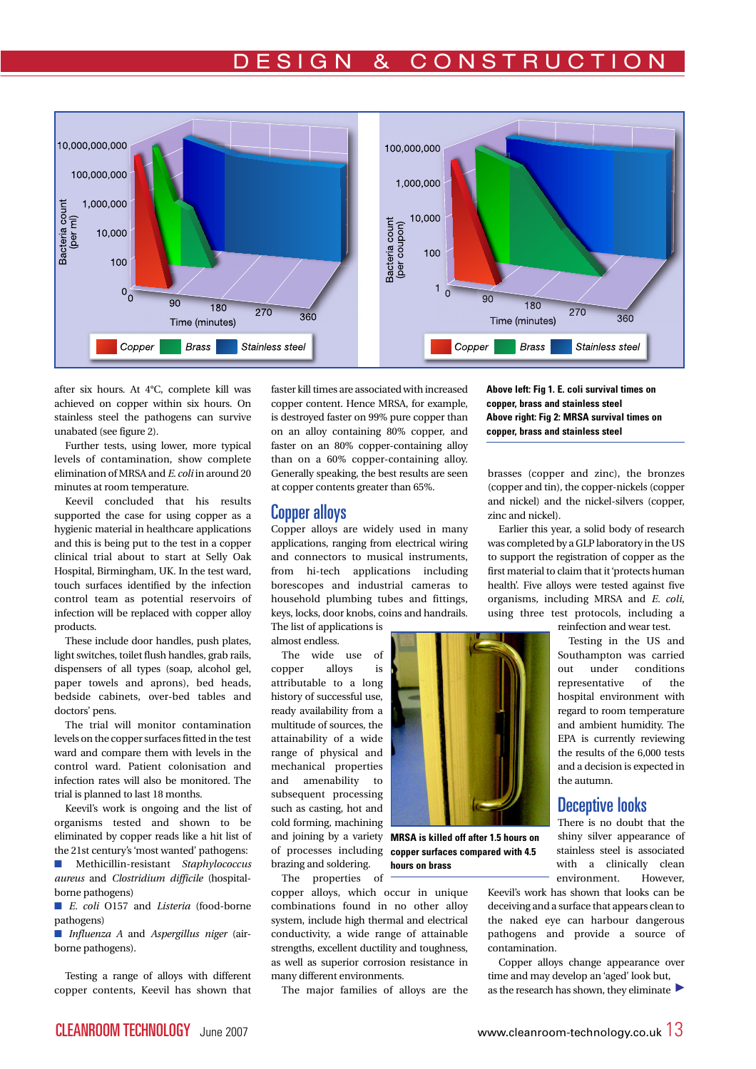# E S I G N & CONSTRUCTIO



after six hours. At 4°C, complete kill was achieved on copper within six hours. On stainless steel the pathogens can survive unabated (see figure 2).

Further tests, using lower, more typical levels of contamination, show complete elimination of MRSA and E. coli in around 20 minutes at room temperature.

Keevil concluded that his results supported the case for using copper as a hygienic material in healthcare applications and this is being put to the test in a copper clinical trial about to start at Selly Oak Hospital, Birmingham, UK. In the test ward, touch surfaces identified by the infection control team as potential reservoirs of infection will be replaced with copper alloy products.

These include door handles, push plates, light switches, toilet flush handles, grab rails, dispensers of all types (soap, alcohol gel, paper towels and aprons), bed heads, bedside cabinets, over-bed tables and doctors' pens.

The trial will monitor contamination levels on the copper surfaces fitted in the test ward and compare them with levels in the control ward. Patient colonisation and infection rates will also be monitored. The trial is planned to last 18 months.

Keevil's work is ongoing and the list of organisms tested and shown to be eliminated by copper reads like a hit list of the 21st century's 'most wanted' pathogens:

 $\blacksquare$  Methicillin-resistant Staphylococcus aureus and Clostridium difficile (hospitalborne pathogens)

 $\blacksquare$  E. coli 0157 and Listeria (food-borne pathogens)

 $\blacksquare$  Influenza A and Aspergillus niger (airborne pathogens).

Testing a range of alloys with different copper contents, Keevil has shown that faster kill times are associated with increased copper content. Hence MRSA, for example, is destroyed faster on 99% pure copper than on an alloy containing 80% copper, and faster on an 80% copper-containing alloy than on a 60% copper-containing alloy. Generally speaking, the best results are seen at copper contents greater than 65%.

#### **Copper alloys**

Copper alloys are widely used in many applications, ranging from electrical wiring and connectors to musical instruments, from hi-tech applications including borescopes and industrial cameras to household plumbing tubes and fittings, keys, locks, door knobs, coins and handrails. The list of applications is

almost endless.

The wide use of copper alloys is attributable to a long history of successful use, ready availability from a multitude of sources, the attainability of a wide range of physical and mechanical properties and amenability to subsequent processing such as casting, hot and cold forming, machining brazing and soldering. The properties of

and joining by a variety MRSA is killed off after 1.5 hours on of processes including copper surfaces compared with 4.5 hours on brass

copper alloys, which occur in unique combinations found in no other alloy system, include high thermal and electrical conductivity, a wide range of attainable strengths, excellent ductility and toughness, as well as superior corrosion resistance in many different environments.

The major families of alloys are the

Above left: Fig 1. E. coli survival times on copper, brass and stainless steel Above right: Fig 2: MRSA survival times on copper, brass and stainless steel

brasses (copper and zinc), the bronzes (copper and tin), the copper-nickels (copper and nickel) and the nickel-silvers (copper, zinc and nickel).

Earlier this year, a solid body of research was completed by a GLP laboratory in the US to support the registration of copper as the first material to claim that it'protects human health'. Five alloys were tested against five organisms, including MRSA and  $E$ . coli, using three test protocols, including a reinfection and wear test.

> Testing in the US and Southampton was carried out under conditions representative of the hospital environment with regard to room temperature and ambient humidity. The EPA is currently reviewing the results of the 6,000 tests and a decision is expected in the autumn.

## Deceptive looks

There is no doubt that the shiny silver appearance of stainless steel is associated with a clinically clean environment. However,

Keevil's work has shown that looks can be deceiving and a surface that appears clean to the naked eye can harbour dangerous pathogens and provide a source of contamination.

Copper alloys change appearance over time and may develop an 'aged' look but, as the research has shown, they eliminate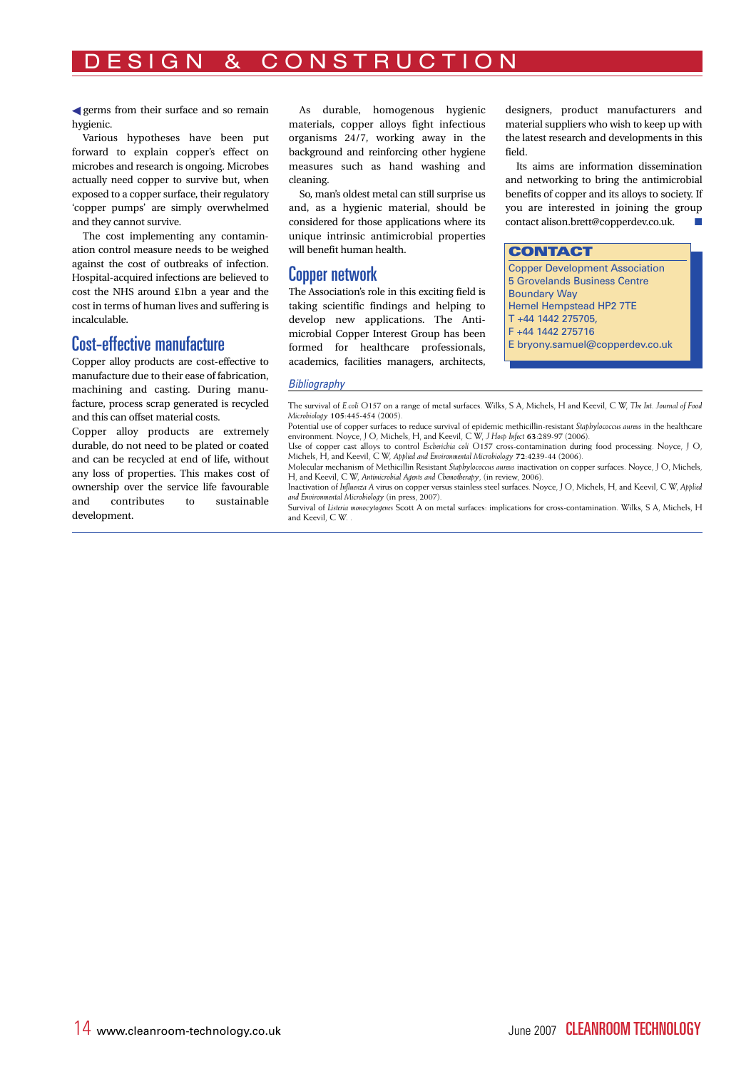# GN & CONSTRUCTION

germs from their surface and so remain hygienic.

Various hypotheses have been put forward to explain copper's effect on microbes and research is ongoing. Microbes actually need copper to survive but, when exposed to a copper surface, their regulatory 'copper pumps' are simply overwhelmed and they cannot survive.

The cost implementing any contamination control measure needs to be weighed against the cost of outbreaks of infection. Hospital-acquired infections are believed to cost the NHS around £1bn a year and the cost in terms of human lives and suffering is incalculable.

### Cost-effective manufacture

Copper alloy products are cost-effective to manufacture due to their ease of fabrication, machining and casting. During manufacture, process scrap generated is recycled and this can offset material costs.

Copper alloy products are extremely durable, do not need to be plated or coated and can be recycled at end of life, without any loss of properties. This makes cost of ownership over the service life favourable and contributes to sustainable development.

As durable, homogenous hygienic materials, copper alloys fight infectious organisms 24/7, working away in the background and reinforcing other hygiene measures such as hand washing and cleaning.

So, man's oldest metal can still surprise us and, as a hygienic material, should be considered for those applications where its unique intrinsic antimicrobial properties will benefit human health.

## **Copper network**

The Association's role in this exciting field is taking scientific findings and helping to develop new applications. The Antimicrobial Copper Interest Group has been formed for healthcare professionals, academics, facilities managers, architects,

designers, product manufacturers and material suppliers who wish to keep up with the latest research and developments in this field.

Its aims are information dissemination and networking to bring the antimicrobial benefits of copper and its alloys to society. If y ou are interested in joining the group contact alison.brett@copperdev.co.uk.

#### **CONTACT**

Copper Development Association 5 Grovelands Business Centre **Boundary Way** Hemel Hempstead HP2 7TE  $T + 44 144 2 275705$ F +44 1442 275716 E bryony.samuel@copperdev.co.uk

#### **Bibliography**

The survival of E.coli O157 on a range of metal surfaces. Wilks, S A, Michels, H and Keevil, C W, The Int. Journal of Food Microbiology 105:445-454 (2005).

Potential use of copper surfaces to reduce survival of epidemic methicillin-resistant Stapbylococcus aureus in the healthcare<br>environment. Noyce, J O, Michels, H, and Keevil, C W, J Hosp Infect 63:289-97 (2006).

Use of copper cast alloys to control Escherichia coli O157 cross-contamination during food processing. Noyce, J O, Michels, H, and Keevil, C W, Applied and Environmental Microbiology 72:4239-44 (2006). Molecular mechanism of Methicillin Resistant Staphylococcus aureus inactivation on copper surfaces. Noyce, J O, Michels,

H, and Keevil, C W, Antimicrobial Agents and Chemotherapy, (in review, 2006). Inactivation of Influenza A virus on copper versus stainless steel surfaces. Noyce, J O, Michels, H, and Keevil, C W, Applied

and Environmental Microbiology (in press, 2007). Survival of Listeria monocytogenes Scott A on metal surfaces: implications for cross-contamination. Wilks, S A, Michels, H

and Keevil, C W.